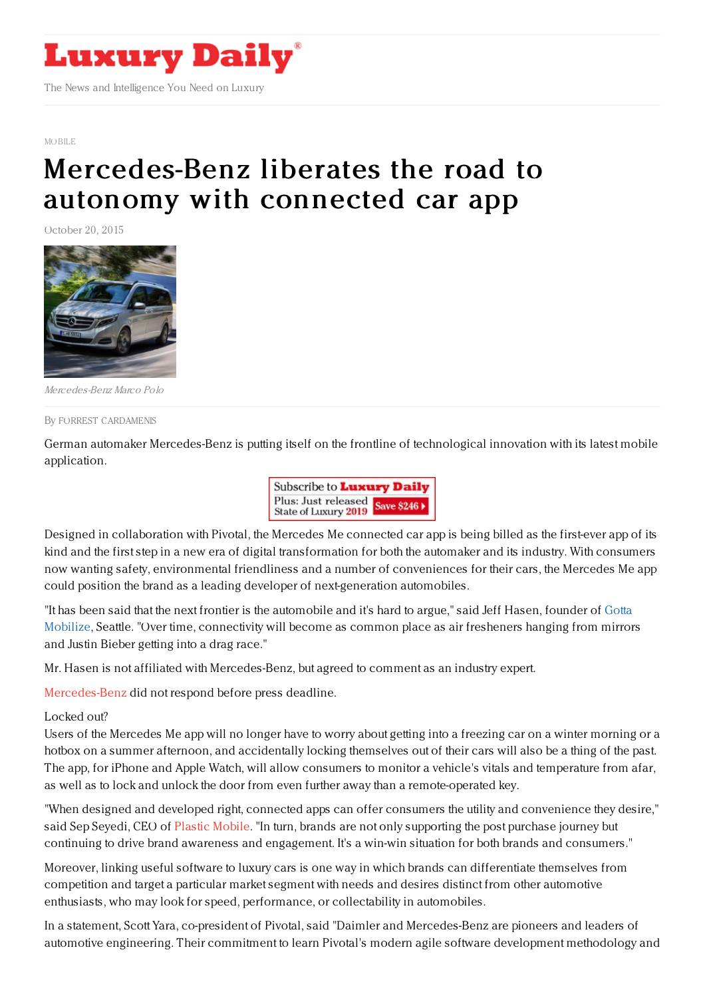

#### [MOBILE](https://www.luxurydaily.com/category/news/mobile-news/)

# [Mercedes-Benz](https://www.luxurydaily.com/mercedes-benz-unlocks-the-road-to-autonomy-with-connected-car-app/) liberates the road to autonomy with connected car app

October 20, 2015



Mercedes-Benz Marco Polo

#### By FORREST [CARDAMENIS](file:///author/forrest-cardamenis)

German automaker Mercedes-Benz is putting itself on the frontline of technological innovation with its latest mobile application.



Designed in collaboration with Pivotal, the Mercedes Me connected car app is being billed as the first-ever app of its kind and the first step in a new era of digital transformation for both the automaker and its industry. With consumers now wanting safety, environmental friendliness and a number of conveniences for their cars, the Mercedes Me app could position the brand as a leading developer of next-generation automobiles.

"It has been said that the next frontier is the automobile and it's hard to argue," said Jeff Hasen, founder of Gotta Mobilize, Seattle. "Over time, [connectivity](http://www.gottamobilize.com/) will become as common place as air fresheners hanging from mirrors and Justin Bieber getting into a drag race."

Mr. Hasen is not affiliated with Mercedes-Benz, but agreed to comment as an industry expert.

[Mercedes-Benz](https://www.mercedes-benz.com/en/) did not respond before press deadline.

### Locked out?

Users of the Mercedes Me app will no longer have to worry about getting into a freezing car on a winter morning or a hotbox on a summer afternoon, and accidentally locking themselves out of their cars will also be a thing of the past. The app, for iPhone and Apple Watch, will allow consumers to monitor a vehicle's vitals and temperature from afar, as well as to lock and unlock the door from even further away than a remote-operated key.

"When designed and developed right, connected apps can offer consumers the utility and convenience they desire," said Sep Seyedi, CEO of Plastic [Mobile](http://www.plasticmobile.com/). "In turn, brands are not only supporting the post purchase journey but continuing to drive brand awareness and engagement. It's a win-win situation for both brands and consumers."

Moreover, linking useful software to luxury cars is one way in which brands can differentiate themselves from competition and target a particular market segment with needs and desires distinct from other automotive enthusiasts, who may look for speed, performance, or collectability in automobiles.

In a statement, Scott Yara, co-president of Pivotal, said "Daimler and Mercedes-Benz are pioneers and leaders of automotive engineering. Their commitment to learn Pivotal's modern agile software development methodology and